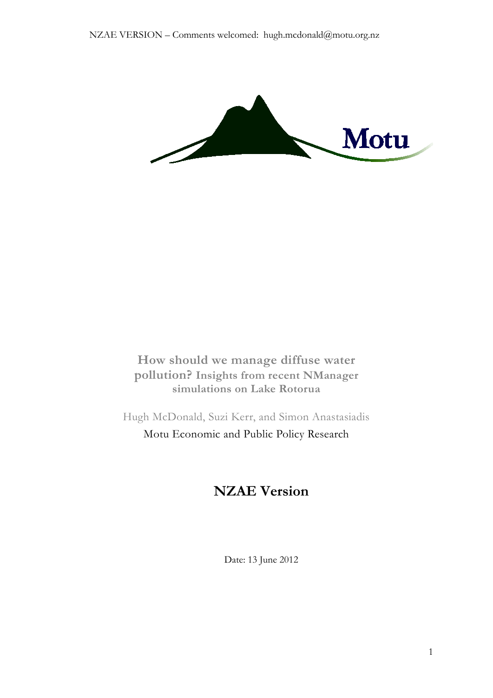

**How should we manage diffuse water pollution? Insights from recent NManager simulations on Lake Rotorua** 

Hugh McDonald, Suzi Kerr, and Simon Anastasiadis Motu Economic and Public Policy Research

# **NZAE Version**

Date: 13 June 2012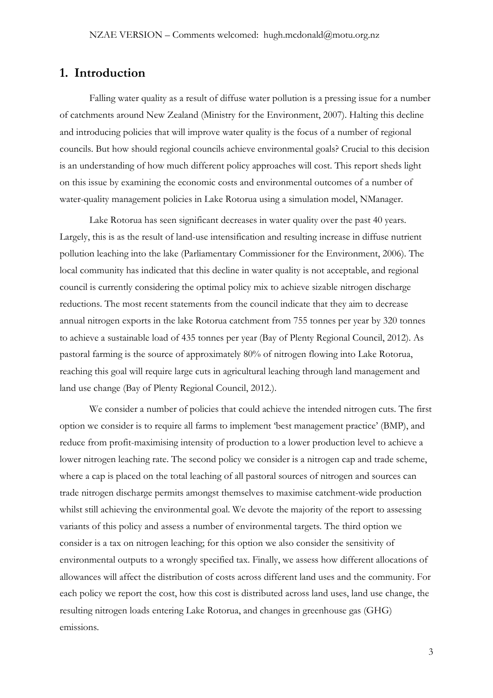# **1. Introduction**

Falling water quality as a result of diffuse water pollution is a pressing issue for a number of catchments around New Zealand (Ministry for the Environment, 2007). Halting this decline and introducing policies that will improve water quality is the focus of a number of regional councils. But how should regional councils achieve environmental goals? Crucial to this decision is an understanding of how much different policy approaches will cost. This report sheds light on this issue by examining the economic costs and environmental outcomes of a number of water-quality management policies in Lake Rotorua using a simulation model, NManager.

Lake Rotorua has seen significant decreases in water quality over the past 40 years. Largely, this is as the result of land-use intensification and resulting increase in diffuse nutrient pollution leaching into the lake (Parliamentary Commissioner for the Environment, 2006). The local community has indicated that this decline in water quality is not acceptable, and regional council is currently considering the optimal policy mix to achieve sizable nitrogen discharge reductions. The most recent statements from the council indicate that they aim to decrease annual nitrogen exports in the lake Rotorua catchment from 755 tonnes per year by 320 tonnes to achieve a sustainable load of 435 tonnes per year (Bay of Plenty Regional Council, 2012). As pastoral farming is the source of approximately 80% of nitrogen flowing into Lake Rotorua, reaching this goal will require large cuts in agricultural leaching through land management and land use change (Bay of Plenty Regional Council, 2012.).

We consider a number of policies that could achieve the intended nitrogen cuts. The first option we consider is to require all farms to implement 'best management practice' (BMP), and reduce from profit-maximising intensity of production to a lower production level to achieve a lower nitrogen leaching rate. The second policy we consider is a nitrogen cap and trade scheme, where a cap is placed on the total leaching of all pastoral sources of nitrogen and sources can trade nitrogen discharge permits amongst themselves to maximise catchment-wide production whilst still achieving the environmental goal. We devote the majority of the report to assessing variants of this policy and assess a number of environmental targets. The third option we consider is a tax on nitrogen leaching; for this option we also consider the sensitivity of environmental outputs to a wrongly specified tax. Finally, we assess how different allocations of allowances will affect the distribution of costs across different land uses and the community. For each policy we report the cost, how this cost is distributed across land uses, land use change, the resulting nitrogen loads entering Lake Rotorua, and changes in greenhouse gas (GHG) emissions.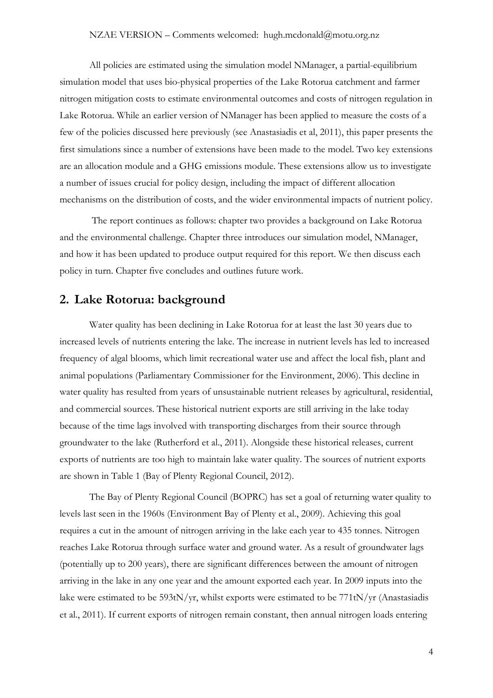#### NZAE VERSION – Comments welcomed: hugh.mcdonald@motu.org.nz

All policies are estimated using the simulation model NManager, a partial-equilibrium simulation model that uses bio-physical properties of the Lake Rotorua catchment and farmer nitrogen mitigation costs to estimate environmental outcomes and costs of nitrogen regulation in Lake Rotorua. While an earlier version of NManager has been applied to measure the costs of a few of the policies discussed here previously (see Anastasiadis et al, 2011), this paper presents the first simulations since a number of extensions have been made to the model. Two key extensions are an allocation module and a GHG emissions module. These extensions allow us to investigate a number of issues crucial for policy design, including the impact of different allocation mechanisms on the distribution of costs, and the wider environmental impacts of nutrient policy.

The report continues as follows: chapter two provides a background on Lake Rotorua and the environmental challenge. Chapter three introduces our simulation model, NManager, and how it has been updated to produce output required for this report. We then discuss each policy in turn. Chapter five concludes and outlines future work.

# **2. Lake Rotorua: background**

Water quality has been declining in Lake Rotorua for at least the last 30 years due to increased levels of nutrients entering the lake. The increase in nutrient levels has led to increased frequency of algal blooms, which limit recreational water use and affect the local fish, plant and animal populations (Parliamentary Commissioner for the Environment, 2006). This decline in water quality has resulted from years of unsustainable nutrient releases by agricultural, residential, and commercial sources. These historical nutrient exports are still arriving in the lake today because of the time lags involved with transporting discharges from their source through groundwater to the lake (Rutherford et al., 2011). Alongside these historical releases, current exports of nutrients are too high to maintain lake water quality. The sources of nutrient exports are shown in [Table 1](#page-4-0) (Bay of Plenty Regional Council, 2012).

The Bay of Plenty Regional Council (BOPRC) has set a goal of returning water quality to levels last seen in the 1960s (Environment Bay of Plenty et al., 2009). Achieving this goal requires a cut in the amount of nitrogen arriving in the lake each year to 435 tonnes. Nitrogen reaches Lake Rotorua through surface water and ground water. As a result of groundwater lags (potentially up to 200 years), there are significant differences between the amount of nitrogen arriving in the lake in any one year and the amount exported each year. In 2009 inputs into the lake were estimated to be 593tN/yr, whilst exports were estimated to be 771tN/yr (Anastasiadis et al., 2011). If current exports of nitrogen remain constant, then annual nitrogen loads entering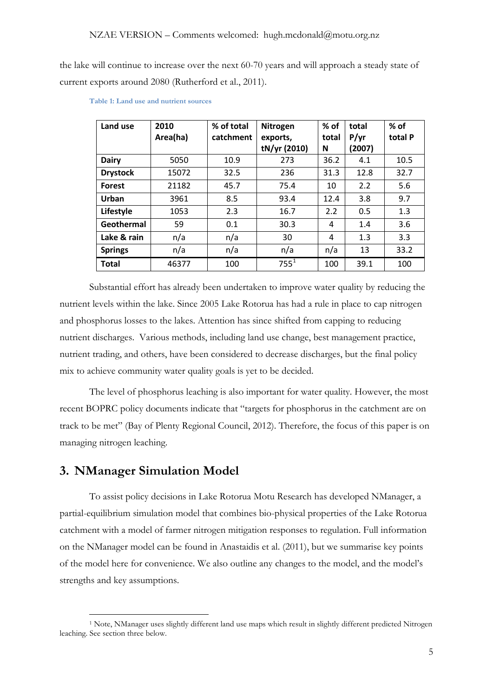the lake will continue to increase over the next 60-70 years and will approach a steady state of current exports around 2080 (Rutherford et al., 2011).

| Land use        | 2010<br>Area(ha) | % of total<br>catchment | Nitrogen<br>exports,<br>tN/yr (2010) | % of<br>total<br>N | total<br>P/yr<br>(2007) | $%$ of<br>total P |
|-----------------|------------------|-------------------------|--------------------------------------|--------------------|-------------------------|-------------------|
| <b>Dairy</b>    | 5050             | 10.9                    | 273                                  | 36.2               | 4.1                     | 10.5              |
| <b>Drystock</b> | 15072            | 32.5                    | 236                                  | 31.3               | 12.8                    | 32.7              |
| <b>Forest</b>   | 21182            | 45.7                    | 75.4                                 | 10                 | 2.2                     | 5.6               |
| Urban           | 3961             | 8.5                     | 93.4                                 | 12.4               | 3.8                     | 9.7               |
| Lifestyle       | 1053             | 2.3                     | 16.7                                 | 2.2                | 0.5                     | 1.3               |
| Geothermal      | 59               | 0.1                     | 30.3                                 | 4                  | 1.4                     | 3.6               |
| Lake & rain     | n/a              | n/a                     | 30                                   | 4                  | 1.3                     | 3.3               |
| <b>Springs</b>  | n/a              | n/a                     | n/a                                  | n/a                | 13                      | 33.2              |
| <b>Total</b>    | 46377            | 100                     | $755^1$                              | 100                | 39.1                    | 100               |

<span id="page-4-0"></span>**Table 1: Land use and nutrient sources**

Substantial effort has already been undertaken to improve water quality by reducing the nutrient levels within the lake. Since 2005 Lake Rotorua has had a rule in place to cap nitrogen and phosphorus losses to the lakes. Attention has since shifted from capping to reducing nutrient discharges. Various methods, including land use change, best management practice, nutrient trading, and others, have been considered to decrease discharges, but the final policy mix to achieve community water quality goals is yet to be decided.

The level of phosphorus leaching is also important for water quality. However, the most recent BOPRC policy documents indicate that "targets for phosphorus in the catchment are on track to be met" (Bay of Plenty Regional Council, 2012). Therefore, the focus of this paper is on managing nitrogen leaching.

# **3. NManager Simulation Model**

To assist policy decisions in Lake Rotorua Motu Research has developed NManager, a partial-equilibrium simulation model that combines bio-physical properties of the Lake Rotorua catchment with a model of farmer nitrogen mitigation responses to regulation. Full information on the NManager model can be found in Anastaidis et al. (2011), but we summarise key points of the model here for convenience. We also outline any changes to the model, and the model's strengths and key assumptions.

<span id="page-4-1"></span> <sup>1</sup> Note, NManager uses slightly different land use maps which result in slightly different predicted Nitrogen leaching. See section three below.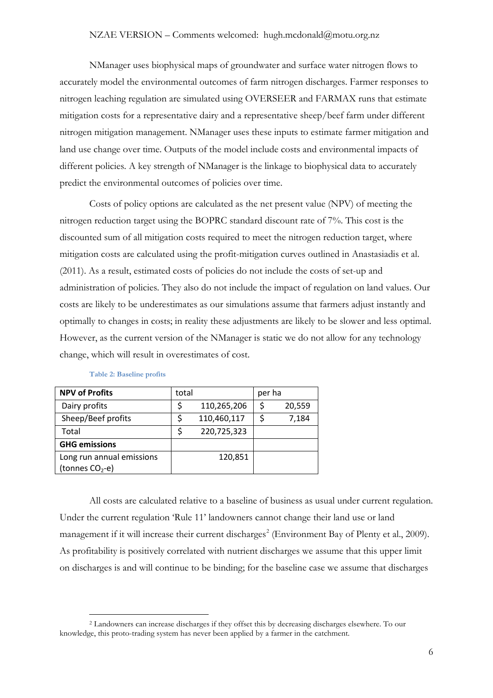#### NZAE VERSION – Comments welcomed: hugh.mcdonald@motu.org.nz

NManager uses biophysical maps of groundwater and surface water nitrogen flows to accurately model the environmental outcomes of farm nitrogen discharges. Farmer responses to nitrogen leaching regulation are simulated using OVERSEER and FARMAX runs that estimate mitigation costs for a representative dairy and a representative sheep/beef farm under different nitrogen mitigation management. NManager uses these inputs to estimate farmer mitigation and land use change over time. Outputs of the model include costs and environmental impacts of different policies. A key strength of NManager is the linkage to biophysical data to accurately predict the environmental outcomes of policies over time.

Costs of policy options are calculated as the net present value (NPV) of meeting the nitrogen reduction target using the BOPRC standard discount rate of 7%. This cost is the discounted sum of all mitigation costs required to meet the nitrogen reduction target, where mitigation costs are calculated using the profit-mitigation curves outlined in Anastasiadis et al. (2011). As a result, estimated costs of policies do not include the costs of set-up and administration of policies. They also do not include the impact of regulation on land values. Our costs are likely to be underestimates as our simulations assume that farmers adjust instantly and optimally to changes in costs; in reality these adjustments are likely to be slower and less optimal. However, as the current version of the NManager is static we do not allow for any technology change, which will result in overestimates of cost.

<span id="page-5-2"></span>

| <b>NPV of Profits</b>                                    | total |             | per ha |        |
|----------------------------------------------------------|-------|-------------|--------|--------|
| Dairy profits                                            | \$    | 110,265,206 | S      | 20,559 |
| Sheep/Beef profits                                       |       | 110,460,117 |        | 7,184  |
| Total                                                    |       | 220,725,323 |        |        |
| <b>GHG emissions</b>                                     |       |             |        |        |
| Long run annual emissions<br>(tonnes CO <sub>2</sub> -e) |       | 120,851     |        |        |

#### **Table 2: Baseline profits**

<span id="page-5-1"></span>All costs are calculated relative to a baseline of business as usual under current regulation. Under the current regulation 'Rule 11' landowners cannot change their land use or land management if it will increase their current discharges<sup>[2](#page-5-0)</sup> (Environment Bay of Plenty et al., 2009). As profitability is positively correlated with nutrient discharges we assume that this upper limit on discharges is and will continue to be binding; for the baseline case we assume that discharges

<span id="page-5-0"></span> <sup>2</sup> Landowners can increase discharges if they offset this by decreasing discharges elsewhere. To our knowledge, this proto-trading system has never been applied by a farmer in the catchment.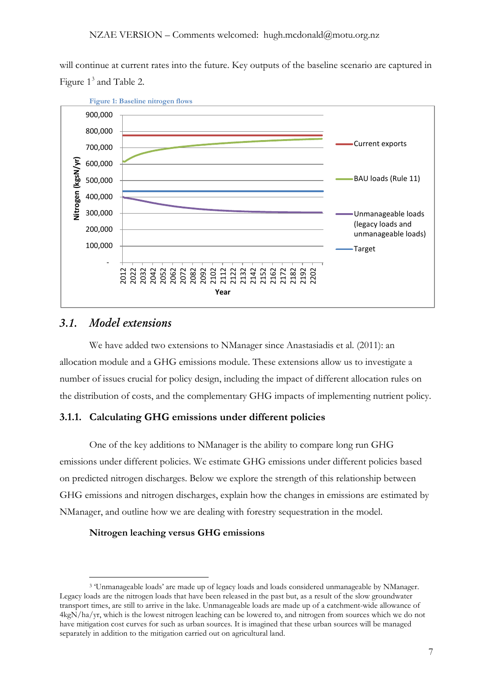will continue at current rates into the future. Key outputs of the baseline scenario are captured in Figure  $1<sup>3</sup>$  $1<sup>3</sup>$  $1<sup>3</sup>$  and [Table 2.](#page-5-2)



# *3.1. Model extensions*

We have added two extensions to NManager since Anastasiadis et al. (2011): an allocation module and a GHG emissions module. These extensions allow us to investigate a number of issues crucial for policy design, including the impact of different allocation rules on the distribution of costs, and the complementary GHG impacts of implementing nutrient policy.

## **3.1.1. Calculating GHG emissions under different policies**

One of the key additions to NManager is the ability to compare long run GHG emissions under different policies. We estimate GHG emissions under different policies based on predicted nitrogen discharges. Below we explore the strength of this relationship between GHG emissions and nitrogen discharges, explain how the changes in emissions are estimated by NManager, and outline how we are dealing with forestry sequestration in the model.

#### **Nitrogen leaching versus GHG emissions**

<span id="page-6-0"></span> <sup>3</sup> 'Unmanageable loads' are made up of legacy loads and loads considered unmanageable by NManager. Legacy loads are the nitrogen loads that have been released in the past but, as a result of the slow groundwater transport times, are still to arrive in the lake. Unmanageable loads are made up of a catchment-wide allowance of 4kgN/ha/yr, which is the lowest nitrogen leaching can be lowered to, and nitrogen from sources which we do not have mitigation cost curves for such as urban sources. It is imagined that these urban sources will be managed separately in addition to the mitigation carried out on agricultural land.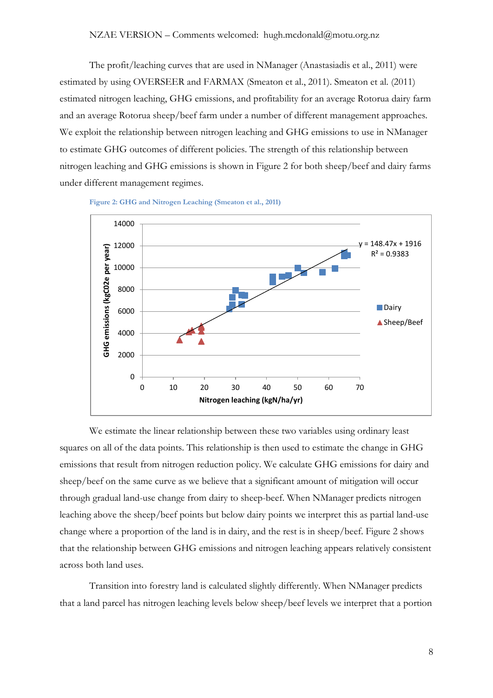The profit/leaching curves that are used in NManager (Anastasiadis et al., 2011) were estimated by using OVERSEER and FARMAX (Smeaton et al., 2011). Smeaton et al. (2011) estimated nitrogen leaching, GHG emissions, and profitability for an average Rotorua dairy farm and an average Rotorua sheep/beef farm under a number of different management approaches. We exploit the relationship between nitrogen leaching and GHG emissions to use in NManager to estimate GHG outcomes of different policies. The strength of this relationship between nitrogen leaching and GHG emissions is shown in [Figure 2](#page-7-0) for both sheep/beef and dairy farms under different management regimes.

**Figure 2: GHG and Nitrogen Leaching (Smeaton et al., 2011)**

<span id="page-7-0"></span>

We estimate the linear relationship between these two variables using ordinary least squares on all of the data points. This relationship is then used to estimate the change in GHG emissions that result from nitrogen reduction policy. We calculate GHG emissions for dairy and sheep/beef on the same curve as we believe that a significant amount of mitigation will occur through gradual land-use change from dairy to sheep-beef. When NManager predicts nitrogen leaching above the sheep/beef points but below dairy points we interpret this as partial land-use change where a proportion of the land is in dairy, and the rest is in sheep/beef. [Figure 2](#page-7-0) shows that the relationship between GHG emissions and nitrogen leaching appears relatively consistent across both land uses.

Transition into forestry land is calculated slightly differently. When NManager predicts that a land parcel has nitrogen leaching levels below sheep/beef levels we interpret that a portion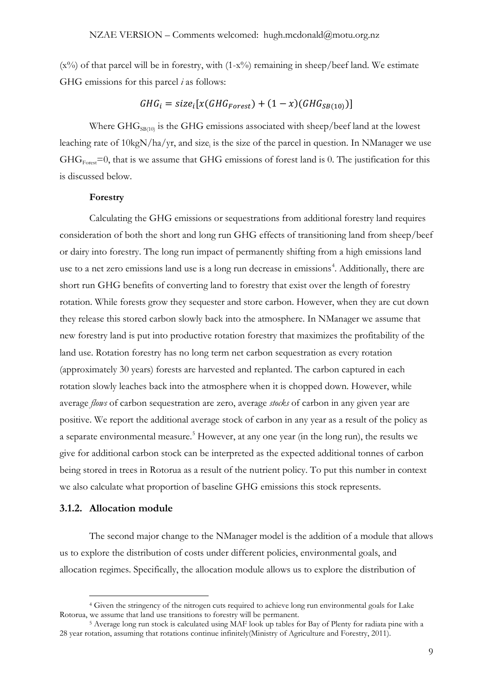$(x\%)$  of that parcel will be in forestry, with  $(1-x\%)$  remaining in sheep/beef land. We estimate GHG emissions for this parcel *i* as follows:

# $GHG_i = size_i[x(GHG_{Forest}) + (1 - x)(GHG_{SB(10)})]$

Where  $GHG<sub>SR(10)</sub>$  is the GHG emissions associated with sheep/beef land at the lowest leaching rate of  $10\text{kgN/ha/yr}$ , and size, is the size of the parcel in question. In NManager we use  $GHG<sub>Forest</sub>=0$ , that is we assume that GHG emissions of forest land is 0. The justification for this is discussed below.

#### **Forestry**

Calculating the GHG emissions or sequestrations from additional forestry land requires consideration of both the short and long run GHG effects of transitioning land from sheep/beef or dairy into forestry. The long run impact of permanently shifting from a high emissions land use to a net zero emissions land use is a long run decrease in emissions<sup>[4](#page-8-0)</sup>. Additionally, there are short run GHG benefits of converting land to forestry that exist over the length of forestry rotation. While forests grow they sequester and store carbon. However, when they are cut down they release this stored carbon slowly back into the atmosphere. In NManager we assume that new forestry land is put into productive rotation forestry that maximizes the profitability of the land use. Rotation forestry has no long term net carbon sequestration as every rotation (approximately 30 years) forests are harvested and replanted. The carbon captured in each rotation slowly leaches back into the atmosphere when it is chopped down. However, while average *flows* of carbon sequestration are zero, average *stocks* of carbon in any given year are positive. We report the additional average stock of carbon in any year as a result of the policy as a separate environmental measure.<sup>[5](#page-8-1)</sup> However, at any one year (in the long run), the results we give for additional carbon stock can be interpreted as the expected additional tonnes of carbon being stored in trees in Rotorua as a result of the nutrient policy. To put this number in context we also calculate what proportion of baseline GHG emissions this stock represents.

#### **3.1.2. Allocation module**

The second major change to the NManager model is the addition of a module that allows us to explore the distribution of costs under different policies, environmental goals, and allocation regimes. Specifically, the allocation module allows us to explore the distribution of

<span id="page-8-0"></span> <sup>4</sup> Given the stringency of the nitrogen cuts required to achieve long run environmental goals for Lake Rotorua, we assume that land use transitions to forestry will be permanent.

<span id="page-8-1"></span><sup>5</sup> Average long run stock is calculated using MAF look up tables for Bay of Plenty for radiata pine with a 28 year rotation, assuming that rotations continue infinitely(Ministry of Agriculture and Forestry, 2011).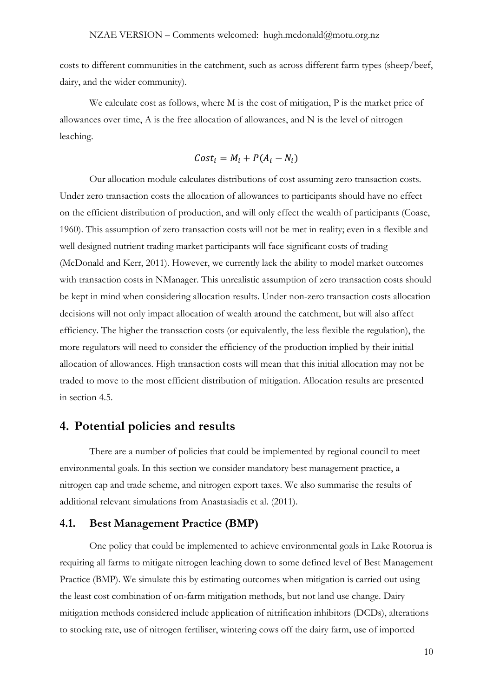costs to different communities in the catchment, such as across different farm types (sheep/beef, dairy, and the wider community).

We calculate cost as follows, where M is the cost of mitigation, P is the market price of allowances over time, A is the free allocation of allowances, and N is the level of nitrogen leaching.

$$
Cost_i = M_i + P(A_i - N_i)
$$

Our allocation module calculates distributions of cost assuming zero transaction costs. Under zero transaction costs the allocation of allowances to participants should have no effect on the efficient distribution of production, and will only effect the wealth of participants (Coase, 1960). This assumption of zero transaction costs will not be met in reality; even in a flexible and well designed nutrient trading market participants will face significant costs of trading (McDonald and Kerr, 2011). However, we currently lack the ability to model market outcomes with transaction costs in NManager. This unrealistic assumption of zero transaction costs should be kept in mind when considering allocation results. Under non-zero transaction costs allocation decisions will not only impact allocation of wealth around the catchment, but will also affect efficiency. The higher the transaction costs (or equivalently, the less flexible the regulation), the more regulators will need to consider the efficiency of the production implied by their initial allocation of allowances. High transaction costs will mean that this initial allocation may not be traded to move to the most efficient distribution of mitigation. Allocation results are presented in section 4.5.

# **4. Potential policies and results**

There are a number of policies that could be implemented by regional council to meet environmental goals. In this section we consider mandatory best management practice, a nitrogen cap and trade scheme, and nitrogen export taxes. We also summarise the results of additional relevant simulations from Anastasiadis et al. (2011).

## **4.1. Best Management Practice (BMP)**

One policy that could be implemented to achieve environmental goals in Lake Rotorua is requiring all farms to mitigate nitrogen leaching down to some defined level of Best Management Practice (BMP). We simulate this by estimating outcomes when mitigation is carried out using the least cost combination of on-farm mitigation methods, but not land use change. Dairy mitigation methods considered include application of nitrification inhibitors (DCDs), alterations to stocking rate, use of nitrogen fertiliser, wintering cows off the dairy farm, use of imported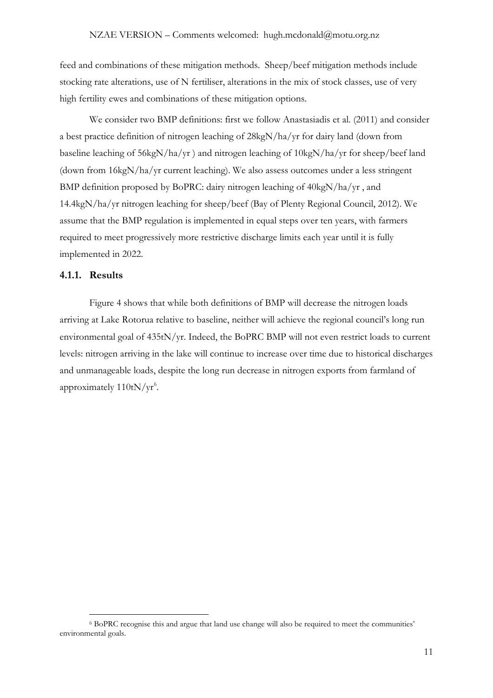feed and combinations of these mitigation methods. Sheep/beef mitigation methods include stocking rate alterations, use of N fertiliser, alterations in the mix of stock classes, use of very high fertility ewes and combinations of these mitigation options.

We consider two BMP definitions: first we follow Anastasiadis et al. (2011) and consider a best practice definition of nitrogen leaching of 28kgN/ha/yr for dairy land (down from baseline leaching of 56kgN/ha/yr ) and nitrogen leaching of 10kgN/ha/yr for sheep/beef land (down from 16kgN/ha/yr current leaching). We also assess outcomes under a less stringent BMP definition proposed by BoPRC: dairy nitrogen leaching of 40kgN/ha/yr , and 14.4kgN/ha/yr nitrogen leaching for sheep/beef (Bay of Plenty Regional Council, 2012). We assume that the BMP regulation is implemented in equal steps over ten years, with farmers required to meet progressively more restrictive discharge limits each year until it is fully implemented in 2022.

## **4.1.1. Results**

[Figure 4](#page-14-0) shows that while both definitions of BMP will decrease the nitrogen loads arriving at Lake Rotorua relative to baseline, neither will achieve the regional council's long run environmental goal of 435tN/yr. Indeed, the BoPRC BMP will not even restrict loads to current levels: nitrogen arriving in the lake will continue to increase over time due to historical discharges and unmanageable loads, despite the long run decrease in nitrogen exports from farmland of approximately  $110tN/yr<sup>6</sup>$  $110tN/yr<sup>6</sup>$  $110tN/yr<sup>6</sup>$ .

<span id="page-10-0"></span> <sup>6</sup> BoPRC recognise this and argue that land use change will also be required to meet the communities' environmental goals.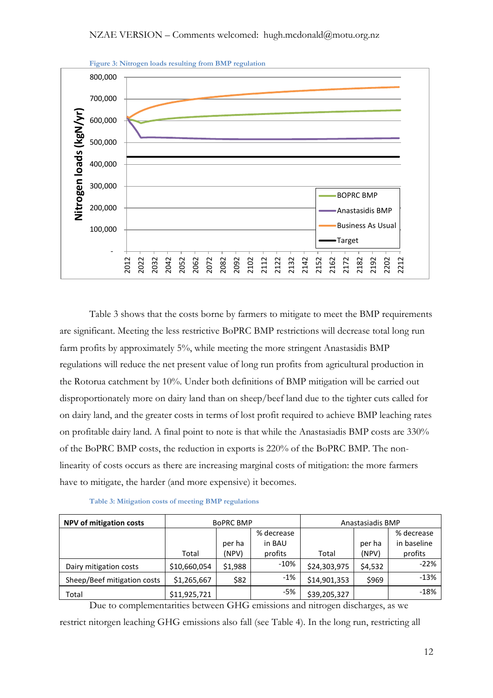

[Table 3](#page-11-0) shows that the costs borne by farmers to mitigate to meet the BMP requirements are significant. Meeting the less restrictive BoPRC BMP restrictions will decrease total long run farm profits by approximately 5%, while meeting the more stringent Anastasidis BMP regulations will reduce the net present value of long run profits from agricultural production in the Rotorua catchment by 10%. Under both definitions of BMP mitigation will be carried out disproportionately more on dairy land than on sheep/beef land due to the tighter cuts called for on dairy land, and the greater costs in terms of lost profit required to achieve BMP leaching rates on profitable dairy land. A final point to note is that while the Anastasiadis BMP costs are 330% of the BoPRC BMP costs, the reduction in exports is 220% of the BoPRC BMP. The nonlinearity of costs occurs as there are increasing marginal costs of mitigation: the more farmers have to mitigate, the harder (and more expensive) it becomes.

<span id="page-11-0"></span>

| <b>NPV of mitigation costs</b> |              | <b>BOPRC BMP</b> |            | Anastasiadis BMP |         |             |
|--------------------------------|--------------|------------------|------------|------------------|---------|-------------|
|                                |              |                  | % decrease |                  |         | % decrease  |
|                                |              | per ha           | in BAU     |                  | per ha  | in baseline |
|                                | Total        | (NPV)            | profits    | Total            | (NPV)   | profits     |
| Dairy mitigation costs         | \$10,660,054 | \$1,988          | $-10%$     | \$24,303,975     | \$4,532 | $-22%$      |
| Sheep/Beef mitigation costs    | \$1,265,667  | \$82             | $-1\%$     | \$14,901,353     | \$969   | $-13%$      |
| Total                          | \$11,925,721 |                  | -5%        | \$39,205,327     |         | $-18%$      |

Due to complementarities between GHG emissions and nitrogen discharges, as we restrict nitorgen leaching GHG emissions also fall (see [Table 4\)](#page-12-0). In the long run, restricting all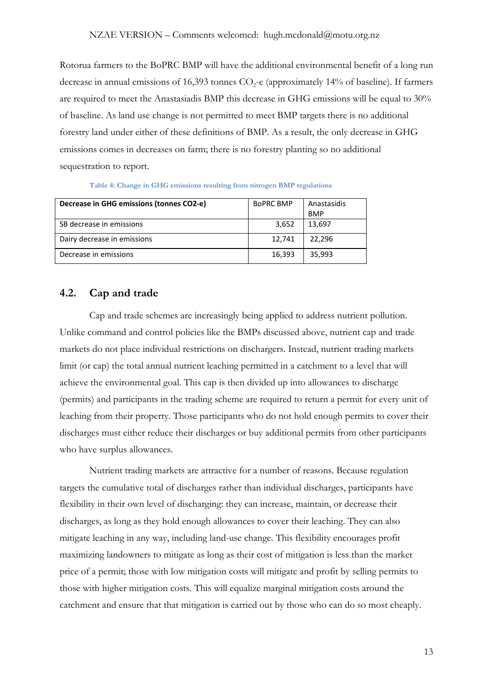Rotorua farmers to the BoPRC BMP will have the additional environmental benefit of a long run decrease in annual emissions of 16,393 tonnes  $CO<sub>2</sub>$ -e (approximately 14% of baseline). If farmers are required to meet the Anastasiadis BMP this decrease in GHG emissions will be equal to 30% of baseline. As land use change is not permitted to meet BMP targets there is no additional forestry land under either of these definitions of BMP. As a result, the only decrease in GHG emissions comes in decreases on farm; there is no forestry planting so no additional sequestration to report.

<span id="page-12-0"></span>

| Decrease in GHG emissions (tonnes CO2-e) | <b>BOPRC BMP</b> | Anastasidis<br><b>BMP</b> |
|------------------------------------------|------------------|---------------------------|
| SB decrease in emissions                 | 3,652            | 13,697                    |
| Dairy decrease in emissions              | 12,741           | 22,296                    |
| Decrease in emissions                    | 16,393           | 35,993                    |

**Table 4: Change in GHG emissions resulting from nitrogen BMP regulations**

## <span id="page-12-1"></span>**4.2. Cap and trade**

Cap and trade schemes are increasingly being applied to address nutrient pollution. Unlike command and control policies like the BMPs discussed above, nutrient cap and trade markets do not place individual restrictions on dischargers. Instead, nutrient trading markets limit (or cap) the total annual nutrient leaching permitted in a catchment to a level that will achieve the environmental goal. This cap is then divided up into allowances to discharge (permits) and participants in the trading scheme are required to return a permit for every unit of leaching from their property. Those participants who do not hold enough permits to cover their discharges must either reduce their discharges or buy additional permits from other participants who have surplus allowances.

Nutrient trading markets are attractive for a number of reasons. Because regulation targets the cumulative total of discharges rather than individual discharges, participants have flexibility in their own level of discharging: they can increase, maintain, or decrease their discharges, as long as they hold enough allowances to cover their leaching. They can also mitigate leaching in any way, including land-use change. This flexibility encourages profit maximizing landowners to mitigate as long as their cost of mitigation is less than the market price of a permit; those with low mitigation costs will mitigate and profit by selling permits to those with higher mitigation costs. This will equalize marginal mitigation costs around the catchment and ensure that that mitigation is carried out by those who can do so most cheaply.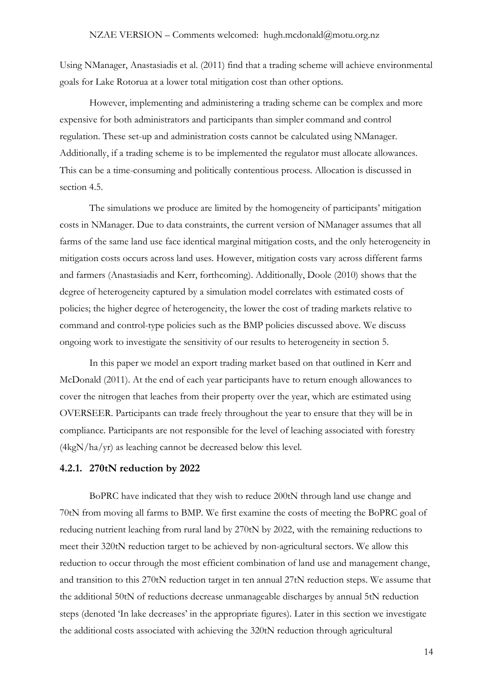Using NManager, Anastasiadis et al. (2011) find that a trading scheme will achieve environmental goals for Lake Rotorua at a lower total mitigation cost than other options.

However, implementing and administering a trading scheme can be complex and more expensive for both administrators and participants than simpler command and control regulation. These set-up and administration costs cannot be calculated using NManager. Additionally, if a trading scheme is to be implemented the regulator must allocate allowances. This can be a time-consuming and politically contentious process. Allocation is discussed in section 4.5.

The simulations we produce are limited by the homogeneity of participants' mitigation costs in NManager. Due to data constraints, the current version of NManager assumes that all farms of the same land use face identical marginal mitigation costs, and the only heterogeneity in mitigation costs occurs across land uses. However, mitigation costs vary across different farms and farmers (Anastasiadis and Kerr, forthcoming). Additionally, Doole (2010) shows that the degree of heterogeneity captured by a simulation model correlates with estimated costs of policies; the higher degree of heterogeneity, the lower the cost of trading markets relative to command and control-type policies such as the BMP policies discussed above. We discuss ongoing work to investigate the sensitivity of our results to heterogeneity in section 5.

In this paper we model an export trading market based on that outlined in Kerr and McDonald (2011). At the end of each year participants have to return enough allowances to cover the nitrogen that leaches from their property over the year, which are estimated using OVERSEER. Participants can trade freely throughout the year to ensure that they will be in compliance. Participants are not responsible for the level of leaching associated with forestry (4kgN/ha/yr) as leaching cannot be decreased below this level.

#### **4.2.1. 270tN reduction by 2022**

BoPRC have indicated that they wish to reduce 200tN through land use change and 70tN from moving all farms to BMP. We first examine the costs of meeting the BoPRC goal of reducing nutrient leaching from rural land by 270tN by 2022, with the remaining reductions to meet their 320tN reduction target to be achieved by non-agricultural sectors. We allow this reduction to occur through the most efficient combination of land use and management change, and transition to this 270tN reduction target in ten annual 27tN reduction steps. We assume that the additional 50tN of reductions decrease unmanageable discharges by annual 5tN reduction steps (denoted 'In lake decreases' in the appropriate figures). Later in this section we investigate the additional costs associated with achieving the 320tN reduction through agricultural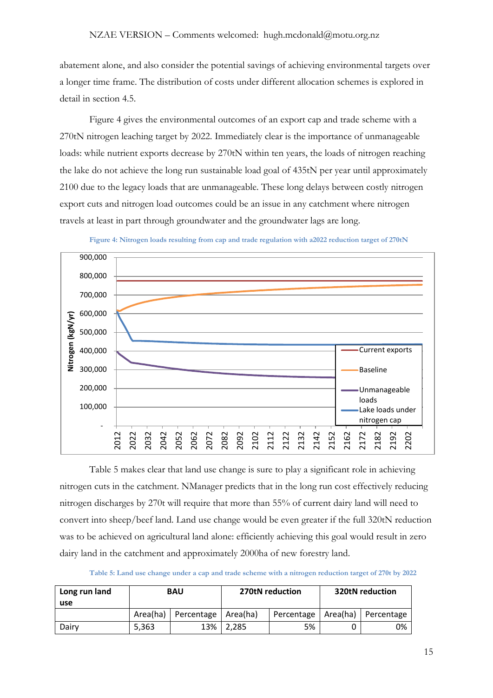abatement alone, and also consider the potential savings of achieving environmental targets over a longer time frame. The distribution of costs under different allocation schemes is explored in detail in section 4.5.

[Figure 4](#page-14-0) gives the environmental outcomes of an export cap and trade scheme with a 270tN nitrogen leaching target by 2022. Immediately clear is the importance of unmanageable loads: while nutrient exports decrease by 270tN within ten years, the loads of nitrogen reaching the lake do not achieve the long run sustainable load goal of 435tN per year until approximately 2100 due to the legacy loads that are unmanageable. These long delays between costly nitrogen export cuts and nitrogen load outcomes could be an issue in any catchment where nitrogen travels at least in part through groundwater and the groundwater lags are long.

<span id="page-14-0"></span>

**Figure 4: Nitrogen loads resulting from cap and trade regulation with a2022 reduction target of 270tN** 

[Table 5](#page-14-1) makes clear that land use change is sure to play a significant role in achieving nitrogen cuts in the catchment. NManager predicts that in the long run cost effectively reducing nitrogen discharges by 270t will require that more than 55% of current dairy land will need to convert into sheep/beef land. Land use change would be even greater if the full 320tN reduction was to be achieved on agricultural land alone: efficiently achieving this goal would result in zero dairy land in the catchment and approximately 2000ha of new forestry land.

**Table 5: Land use change under a cap and trade scheme with a nitrogen reduction target of 270t by 2022** 

<span id="page-14-1"></span>

| Long run land<br>use | <b>BAU</b> |                       | 270tN reduction |                       | <b>320tN reduction</b> |            |
|----------------------|------------|-----------------------|-----------------|-----------------------|------------------------|------------|
|                      | Area(ha)   | Percentage   Area(ha) |                 | Percentage   Area(ha) |                        | Percentage |
| Dairv                | 5,363      | 13%                   | 2.285           | 5%                    |                        | 0%         |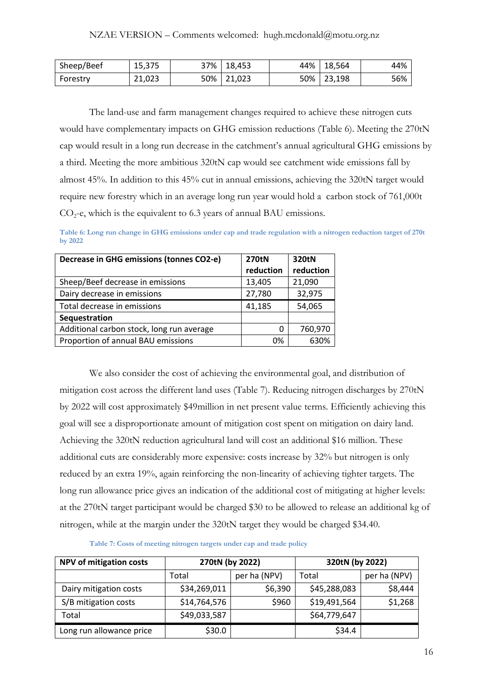| Sheep/Beef | 15,375 | 37% 18,453 | 44%   18,564 | 44% |
|------------|--------|------------|--------------|-----|
| Forestry   | 21,023 | 50% 21,023 | 50% 23,198   | 56% |

The land-use and farm management changes required to achieve these nitrogen cuts would have complementary impacts on GHG emission reductions [\(Table 6\)](#page-15-0). Meeting the 270tN cap would result in a long run decrease in the catchment's annual agricultural GHG emissions by a third. Meeting the more ambitious 320tN cap would see catchment wide emissions fall by almost 45%. In addition to this 45% cut in annual emissions, achieving the 320tN target would require new forestry which in an average long run year would hold a carbon stock of 761,000t  $CO<sub>2</sub>$ -e, which is the equivalent to 6.3 years of annual BAU emissions.

<span id="page-15-0"></span>**Table 6: Long run change in GHG emissions under cap and trade regulation with a nitrogen reduction target of 270t by 2022**

| Decrease in GHG emissions (tonnes CO2-e)  | <b>270tN</b> | 320tN     |
|-------------------------------------------|--------------|-----------|
|                                           | reduction    | reduction |
| Sheep/Beef decrease in emissions          | 13,405       | 21,090    |
| Dairy decrease in emissions               | 27,780       | 32,975    |
| Total decrease in emissions               | 41,185       | 54,065    |
| Sequestration                             |              |           |
| Additional carbon stock, long run average | 0            | 760,970   |
| Proportion of annual BAU emissions        | 0%           | 630%      |

We also consider the cost of achieving the environmental goal, and distribution of mitigation cost across the different land uses [\(Table 7\)](#page-15-1). Reducing nitrogen discharges by 270tN by 2022 will cost approximately \$49million in net present value terms. Efficiently achieving this goal will see a disproportionate amount of mitigation cost spent on mitigation on dairy land. Achieving the 320tN reduction agricultural land will cost an additional \$16 million. These additional cuts are considerably more expensive: costs increase by 32% but nitrogen is only reduced by an extra 19%, again reinforcing the non-linearity of achieving tighter targets. The long run allowance price gives an indication of the additional cost of mitigating at higher levels: at the 270tN target participant would be charged \$30 to be allowed to release an additional kg of nitrogen, while at the margin under the 320tN target they would be charged \$34.40.

<span id="page-15-1"></span>

| NPV of mitigation costs  | 270tN (by 2022)       |         | 320tN (by 2022) |              |  |
|--------------------------|-----------------------|---------|-----------------|--------------|--|
|                          | per ha (NPV)<br>Total |         | Total           | per ha (NPV) |  |
| Dairy mitigation costs   | \$34,269,011          | \$6,390 | \$45,288,083    | \$8,444      |  |
| S/B mitigation costs     | \$14,764,576          | \$960   | \$19,491,564    | \$1,268      |  |
| Total                    | \$49,033,587          |         | \$64,779,647    |              |  |
| Long run allowance price | \$30.0                |         | \$34.4          |              |  |

**Table 7: Costs of meeting nitrogen targets under cap and trade policy**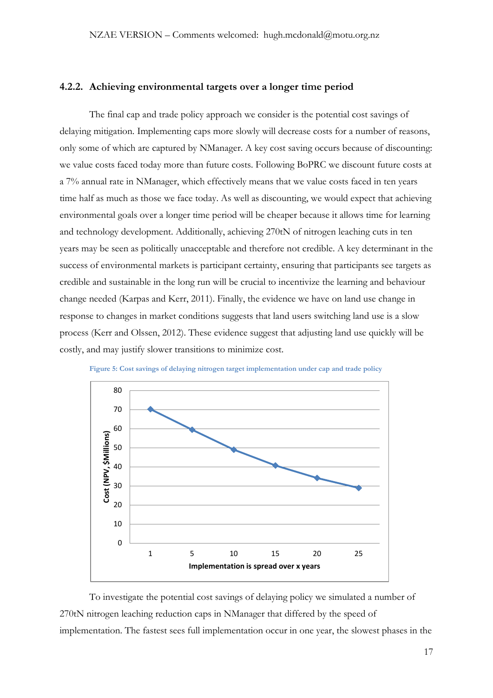## **4.2.2. Achieving environmental targets over a longer time period**

The final cap and trade policy approach we consider is the potential cost savings of delaying mitigation. Implementing caps more slowly will decrease costs for a number of reasons, only some of which are captured by NManager. A key cost saving occurs because of discounting: we value costs faced today more than future costs. Following BoPRC we discount future costs at a 7% annual rate in NManager, which effectively means that we value costs faced in ten years time half as much as those we face today. As well as discounting, we would expect that achieving environmental goals over a longer time period will be cheaper because it allows time for learning and technology development. Additionally, achieving 270tN of nitrogen leaching cuts in ten years may be seen as politically unacceptable and therefore not credible. A key determinant in the success of environmental markets is participant certainty, ensuring that participants see targets as credible and sustainable in the long run will be crucial to incentivize the learning and behaviour change needed (Karpas and Kerr, 2011). Finally, the evidence we have on land use change in response to changes in market conditions suggests that land users switching land use is a slow process (Kerr and Olssen, 2012). These evidence suggest that adjusting land use quickly will be costly, and may justify slower transitions to minimize cost.

<span id="page-16-0"></span>



To investigate the potential cost savings of delaying policy we simulated a number of 270tN nitrogen leaching reduction caps in NManager that differed by the speed of implementation. The fastest sees full implementation occur in one year, the slowest phases in the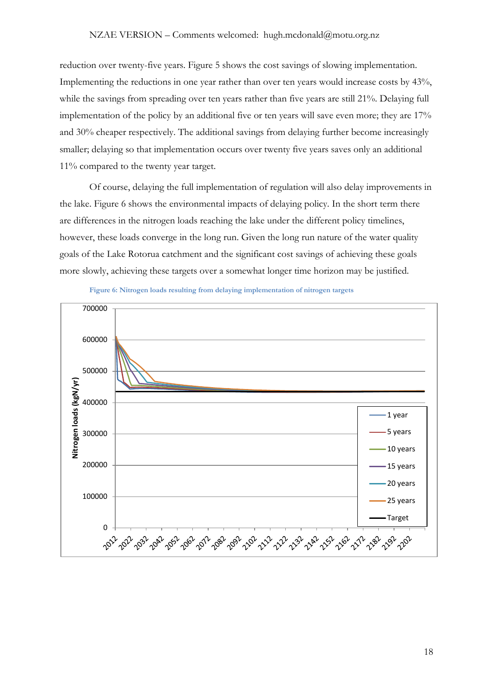#### NZAE VERSION – Comments welcomed: hugh.mcdonald@motu.org.nz

reduction over twenty-five years. [Figure 5](#page-16-0) shows the cost savings of slowing implementation. Implementing the reductions in one year rather than over ten years would increase costs by 43%, while the savings from spreading over ten years rather than five years are still 21%. Delaying full implementation of the policy by an additional five or ten years will save even more; they are 17% and 30% cheaper respectively. The additional savings from delaying further become increasingly smaller; delaying so that implementation occurs over twenty five years saves only an additional 11% compared to the twenty year target.

Of course, delaying the full implementation of regulation will also delay improvements in the lake. [Figure 6](#page-17-0) shows the environmental impacts of delaying policy. In the short term there are differences in the nitrogen loads reaching the lake under the different policy timelines, however, these loads converge in the long run. Given the long run nature of the water quality goals of the Lake Rotorua catchment and the significant cost savings of achieving these goals more slowly, achieving these targets over a somewhat longer time horizon may be justified.



<span id="page-17-0"></span>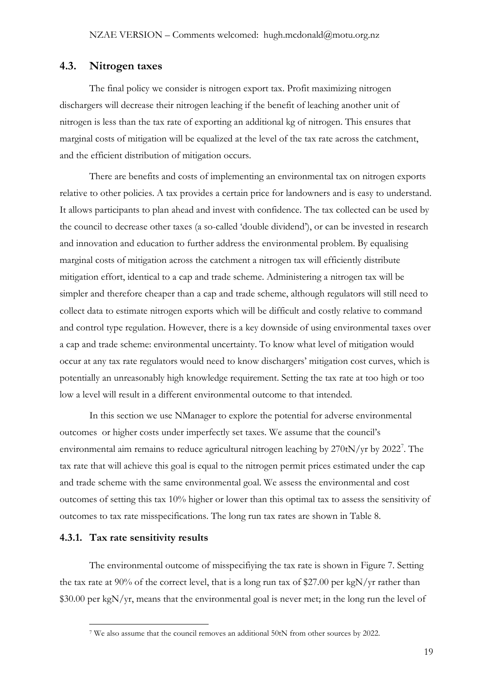### **4.3. Nitrogen taxes**

The final policy we consider is nitrogen export tax. Profit maximizing nitrogen dischargers will decrease their nitrogen leaching if the benefit of leaching another unit of nitrogen is less than the tax rate of exporting an additional kg of nitrogen. This ensures that marginal costs of mitigation will be equalized at the level of the tax rate across the catchment, and the efficient distribution of mitigation occurs.

There are benefits and costs of implementing an environmental tax on nitrogen exports relative to other policies. A tax provides a certain price for landowners and is easy to understand. It allows participants to plan ahead and invest with confidence. The tax collected can be used by the council to decrease other taxes (a so-called 'double dividend'), or can be invested in research and innovation and education to further address the environmental problem. By equalising marginal costs of mitigation across the catchment a nitrogen tax will efficiently distribute mitigation effort, identical to a cap and trade scheme. Administering a nitrogen tax will be simpler and therefore cheaper than a cap and trade scheme, although regulators will still need to collect data to estimate nitrogen exports which will be difficult and costly relative to command and control type regulation. However, there is a key downside of using environmental taxes over a cap and trade scheme: environmental uncertainty. To know what level of mitigation would occur at any tax rate regulators would need to know dischargers' mitigation cost curves, which is potentially an unreasonably high knowledge requirement. Setting the tax rate at too high or too low a level will result in a different environmental outcome to that intended.

In this section we use NManager to explore the potential for adverse environmental outcomes or higher costs under imperfectly set taxes. We assume that the council's environmental aim remains to reduce agricultural nitrogen leaching by  $270tN/yr$  $270tN/yr$  by  $2022^7$ . The outcomes to tax rate misspecifications. The long run tax rates are shown in Table 8. tax rate that will achieve this goal is equal to the nitrogen permit prices estimated under the cap and trade scheme with the same environmental goal. We assess the environmental and cost outcomes of setting this tax 10% higher or lower than this optimal tax to assess the sensitivity of

#### **4.3.1. Tax rate sensitivity results**

The environmental outcome of misspecifiying the tax rate is shown in [Figure 7.](#page-19-0) Setting the tax rate at 90% of the correct level, that is a long run tax of \$27.00 per kgN/yr rather than \$30.00 per kgN/yr, means that the environmental goal is never met; in the long run the level of

<span id="page-18-0"></span> <sup>7</sup> We also assume that the council removes an additional 50tN from other sources by 2022.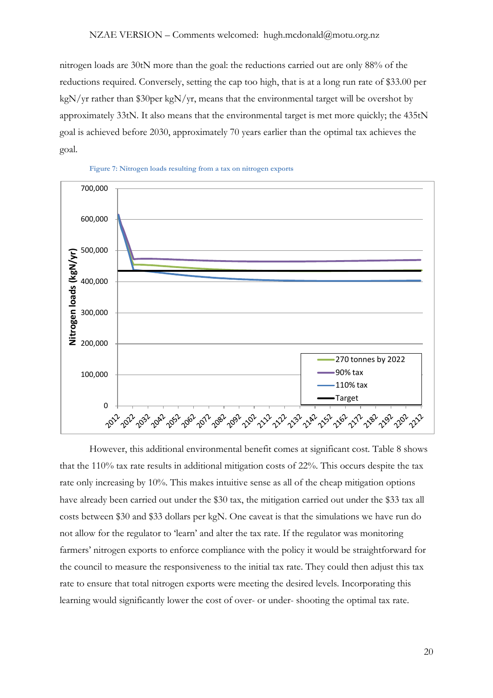nitrogen loads are 30tN more than the goal: the reductions carried out are only 88% of the reductions required. Conversely, setting the cap too high, that is at a long run rate of \$33.00 per kgN/yr rather than \$30per kgN/yr, means that the environmental target will be overshot by approximately 33tN. It also means that the environmental target is met more quickly; the 435tN goal is achieved before 2030, approximately 70 years earlier than the optimal tax achieves the goal.

<span id="page-19-0"></span>



However, this additional environmental benefit comes at significant cost. [Table 8](#page-20-0) shows that the 110% tax rate results in additional mitigation costs of 22%. This occurs despite the tax rate only increasing by 10%. This makes intuitive sense as all of the cheap mitigation options have already been carried out under the \$30 tax, the mitigation carried out under the \$33 tax all costs between \$30 and \$33 dollars per kgN. One caveat is that the simulations we have run do not allow for the regulator to 'learn' and alter the tax rate. If the regulator was monitoring farmers' nitrogen exports to enforce compliance with the policy it would be straightforward for the council to measure the responsiveness to the initial tax rate. They could then adjust this tax rate to ensure that total nitrogen exports were meeting the desired levels. Incorporating this learning would significantly lower the cost of over- or under- shooting the optimal tax rate.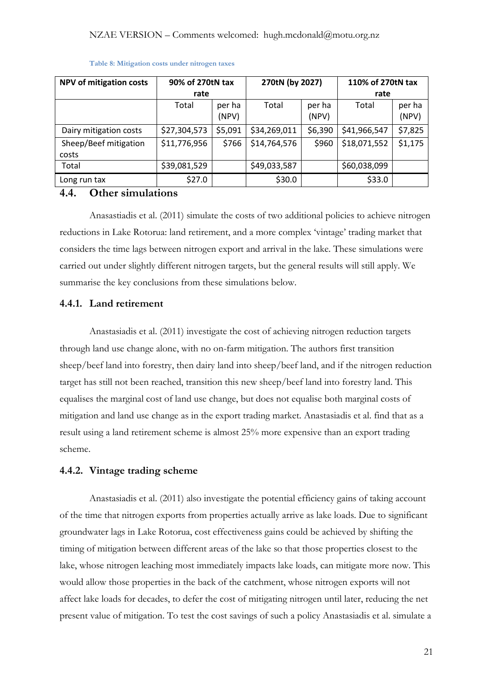<span id="page-20-0"></span>

| <b>NPV of mitigation costs</b> | 90% of 270tN tax |                 | 270tN (by 2027) |                 | 110% of 270tN tax |                 |
|--------------------------------|------------------|-----------------|-----------------|-----------------|-------------------|-----------------|
|                                | rate             |                 |                 |                 | rate              |                 |
|                                | Total            | per ha<br>(NPV) | Total           | per ha<br>(NPV) | Total             | per ha<br>(NPV) |
| Dairy mitigation costs         | \$27,304,573     | \$5,091         | \$34,269,011    | \$6,390         | \$41,966,547      | \$7,825         |
| Sheep/Beef mitigation<br>costs | \$11,776,956     | \$766           | \$14,764,576    | \$960           | \$18,071,552      | \$1,175         |
| Total                          | \$39,081,529     |                 | \$49,033,587    |                 | \$60,038,099      |                 |
| Long run tax                   | \$27.0           |                 | \$30.0          |                 | \$33.0            |                 |

#### **Table 8: Mitigation costs under nitrogen taxes**

## **4.4. Other simulations**

Anasastiadis et al. (2011) simulate the costs of two additional policies to achieve nitrogen reductions in Lake Rotorua: land retirement, and a more complex 'vintage' trading market that considers the time lags between nitrogen export and arrival in the lake. These simulations were carried out under slightly different nitrogen targets, but the general results will still apply. We summarise the key conclusions from these simulations below.

## **4.4.1. Land retirement**

Anastasiadis et al. (2011) investigate the cost of achieving nitrogen reduction targets through land use change alone, with no on-farm mitigation. The authors first transition sheep/beef land into forestry, then dairy land into sheep/beef land, and if the nitrogen reduction target has still not been reached, transition this new sheep/beef land into forestry land. This equalises the marginal cost of land use change, but does not equalise both marginal costs of mitigation and land use change as in the export trading market. Anastasiadis et al. find that as a result using a land retirement scheme is almost 25% more expensive than an export trading scheme.

#### **4.4.2. Vintage trading scheme**

Anastasiadis et al. (2011) also investigate the potential efficiency gains of taking account of the time that nitrogen exports from properties actually arrive as lake loads. Due to significant groundwater lags in Lake Rotorua, cost effectiveness gains could be achieved by shifting the timing of mitigation between different areas of the lake so that those properties closest to the lake, whose nitrogen leaching most immediately impacts lake loads, can mitigate more now. This would allow those properties in the back of the catchment, whose nitrogen exports will not affect lake loads for decades, to defer the cost of mitigating nitrogen until later, reducing the net present value of mitigation. To test the cost savings of such a policy Anastasiadis et al. simulate a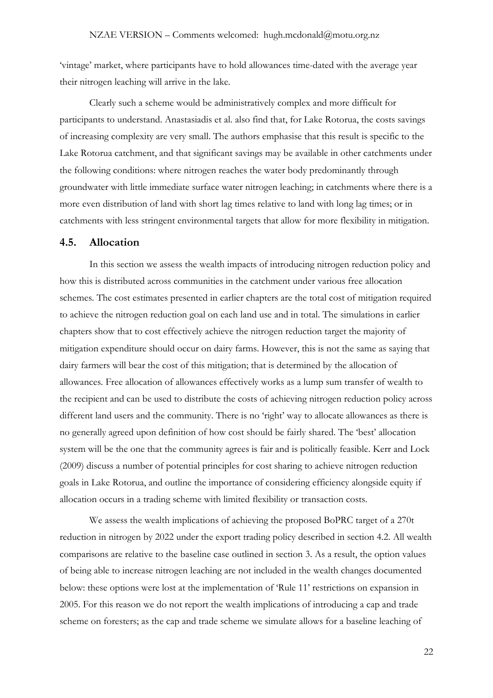'vintage' market, where participants have to hold allowances time-dated with the average year their nitrogen leaching will arrive in the lake.

Clearly such a scheme would be administratively complex and more difficult for participants to understand. Anastasiadis et al. also find that, for Lake Rotorua, the costs savings of increasing complexity are very small. The authors emphasise that this result is specific to the Lake Rotorua catchment, and that significant savings may be available in other catchments under the following conditions: where nitrogen reaches the water body predominantly through groundwater with little immediate surface water nitrogen leaching; in catchments where there is a more even distribution of land with short lag times relative to land with long lag times; or in catchments with less stringent environmental targets that allow for more flexibility in mitigation.

### **4.5. Allocation**

In this section we assess the wealth impacts of introducing nitrogen reduction policy and how this is distributed across communities in the catchment under various free allocation schemes. The cost estimates presented in earlier chapters are the total cost of mitigation required to achieve the nitrogen reduction goal on each land use and in total. The simulations in earlier chapters show that to cost effectively achieve the nitrogen reduction target the majority of mitigation expenditure should occur on dairy farms. However, this is not the same as saying that dairy farmers will bear the cost of this mitigation; that is determined by the allocation of allowances. Free allocation of allowances effectively works as a lump sum transfer of wealth to the recipient and can be used to distribute the costs of achieving nitrogen reduction policy across different land users and the community. There is no 'right' way to allocate allowances as there is no generally agreed upon definition of how cost should be fairly shared. The 'best' allocation system will be the one that the community agrees is fair and is politically feasible. Kerr and Lock (2009) discuss a number of potential principles for cost sharing to achieve nitrogen reduction goals in Lake Rotorua, and outline the importance of considering efficiency alongside equity if allocation occurs in a trading scheme with limited flexibility or transaction costs.

We assess the wealth implications of achieving the proposed BoPRC target of a 270t reduction in nitrogen by 2022 under the export trading policy described in section 4.2. All wealth comparisons are relative to the baseline case outlined in section 3. As a result, the option values of being able to increase nitrogen leaching are not included in the wealth changes documented below: these options were lost at the implementation of 'Rule 11' restrictions on expansion in 2005. For this reason we do not report the wealth implications of introducing a cap and trade scheme on foresters; as the cap and trade scheme we simulate allows for a baseline leaching of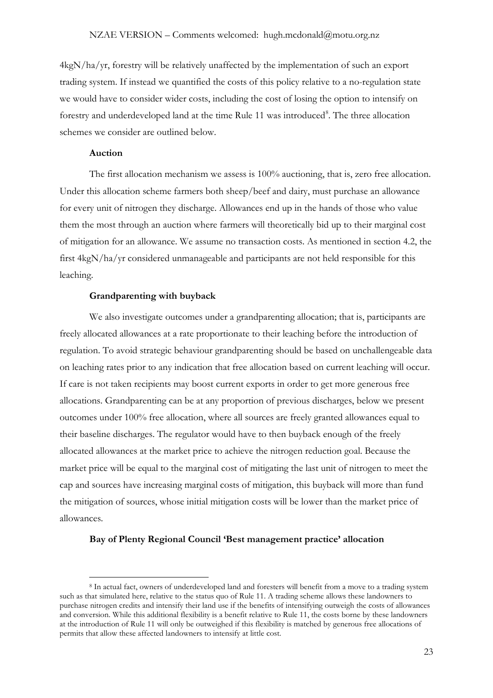4kgN/ha/yr, forestry will be relatively unaffected by the implementation of such an export trading system. If instead we quantified the costs of this policy relative to a no-regulation state we would have to consider wider costs, including the cost of losing the option to intensify on forestry and underdeveloped land at the time Rule 11 was introduced<sup>[8](#page-22-0)</sup>. The three allocation schemes we consider are outlined below.

#### **Auction**

The first allocation mechanism we assess is 100% auctioning, that is, zero free allocation. Under this allocation scheme farmers both sheep/beef and dairy, must purchase an allowance for every unit of nitrogen they discharge. Allowances end up in the hands of those who value them the most through an auction where farmers will theoretically bid up to their marginal cost of mitigation for an allowance. We assume no transaction costs. As mentioned in section [4.2,](#page-12-1) the first 4kgN/ha/yr considered unmanageable and participants are not held responsible for this leaching.

#### **Grandparenting with buyback**

We also investigate outcomes under a grandparenting allocation; that is, participants are freely allocated allowances at a rate proportionate to their leaching before the introduction of regulation. To avoid strategic behaviour grandparenting should be based on unchallengeable data on leaching rates prior to any indication that free allocation based on current leaching will occur. If care is not taken recipients may boost current exports in order to get more generous free allocations. Grandparenting can be at any proportion of previous discharges, below we present outcomes under 100% free allocation, where all sources are freely granted allowances equal to their baseline discharges. The regulator would have to then buyback enough of the freely allocated allowances at the market price to achieve the nitrogen reduction goal. Because the market price will be equal to the marginal cost of mitigating the last unit of nitrogen to meet the cap and sources have increasing marginal costs of mitigation, this buyback will more than fund the mitigation of sources, whose initial mitigation costs will be lower than the market price of allowances.

#### **Bay of Plenty Regional Council 'Best management practice' allocation**

<span id="page-22-0"></span> <sup>8</sup> In actual fact, owners of underdeveloped land and foresters will benefit from a move to a trading system such as that simulated here, relative to the status quo of Rule 11. A trading scheme allows these landowners to purchase nitrogen credits and intensify their land use if the benefits of intensifying outweigh the costs of allowances and conversion. While this additional flexibility is a benefit relative to Rule 11, the costs borne by these landowners at the introduction of Rule 11 will only be outweighed if this flexibility is matched by generous free allocations of permits that allow these affected landowners to intensify at little cost.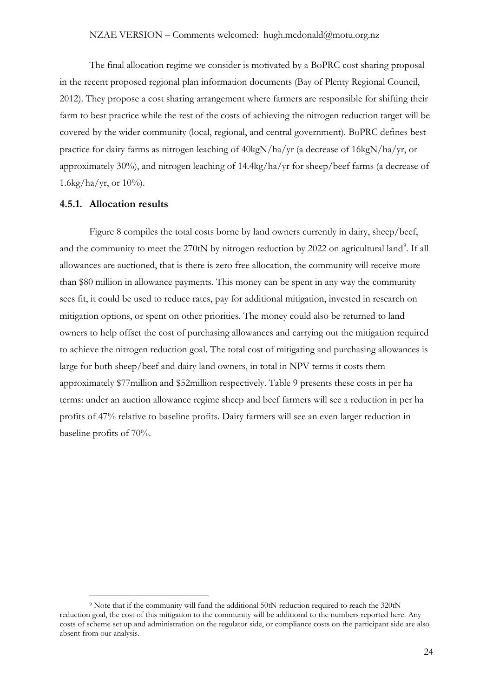The final allocation regime we consider is motivated by a BoPRC cost sharing proposal in the recent proposed regional plan information documents (Bay of Plenty Regional Council, 2012). They propose a cost sharing arrangement where farmers are responsible for shifting their farm to best practice while the rest of the costs of achieving the nitrogen reduction target will be covered by the wider community (local, regional, and central government). BoPRC defines best practice for dairy farms as nitrogen leaching of 40kgN/ha/yr (a decrease of 16kgN/ha/yr, or approximately 30%), and nitrogen leaching of 14.4kg/ha/yr for sheep/beef farms (a decrease of 1.6kg/ha/yr, or  $10\%$ ).

#### **4.5.1. Allocation results**

[Figure 8](#page-24-0) compiles the total costs borne by land owners currently in dairy, sheep/beef, and the community to meet the 270tN by nitrogen reduction by 2022 on agricultural land<sup>[9](#page-23-0)</sup>. If all approximately\$77million and \$52million respectively. Table 9 presents these costs in per ha allowances are auctioned, that is there is zero free allocation, the community will receive more than \$80 million in allowance payments. This money can be spent in any way the community sees fit, it could be used to reduce rates, pay for additional mitigation, invested in research on mitigation options, or spent on other priorities. The money could also be returned to land owners to help offset the cost of purchasing allowances and carrying out the mitigation required to achieve the nitrogen reduction goal. The total cost of mitigating and purchasing allowances is large for both sheep/beef and dairy land owners, in total in NPV terms it costs them terms: under an auction allowance regime sheep and beef farmers will see a reduction in per ha profits of 47% relative to baseline profits. Dairy farmers will see an even larger reduction in baseline profits of 70%.

<span id="page-23-0"></span> <sup>9</sup> Note that if the community will fund the additional 50tN reduction required to reach the 320tN reduction goal, the cost of this mitigation to the community will be additional to the numbers reported here. Any costs of scheme set up and administration on the regulator side, or compliance costs on the participant side are also absent from our analysis.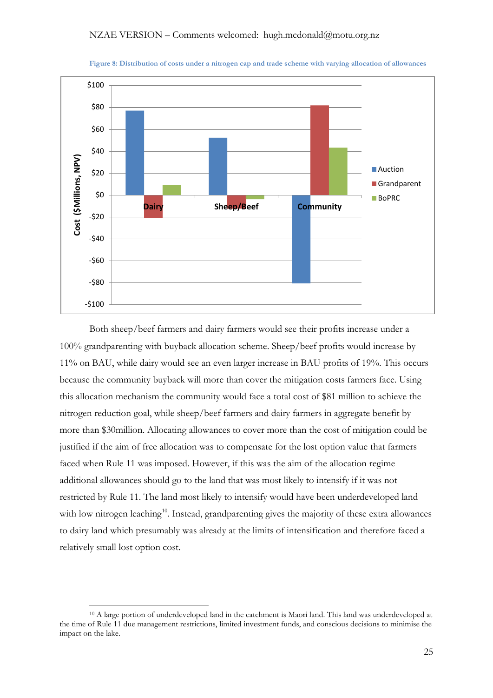<span id="page-24-0"></span>

**Figure 8: Distribution of costs under a nitrogen cap and trade scheme with varying allocation of allowances**

Both sheep/beef farmers and dairy farmers would see their profits increase under a 100% grandparenting with buyback allocation scheme. Sheep/beef profits would increase by 11% on BAU, while dairy would see an even larger increase in BAU profits of 19%. This occurs because the community buyback will more than cover the mitigation costs farmers face. Using this allocation mechanism the community would face a total cost of \$81 million to achieve the nitrogen reduction goal, while sheep/beef farmers and dairy farmers in aggregate benefit by more than \$30million. Allocating allowances to cover more than the cost of mitigation could be justified if the aim of free allocation was to compensate for the lost option value that farmers faced when Rule 11 was imposed. However, if this was the aim of the allocation regime additional allowances should go to the land that was most likely to intensify if it was not restricted by Rule 11. The land most likely to intensify would have been underdeveloped land with low nitrogen leaching<sup>[10](#page-24-1)</sup>. Instead, grandparenting gives the majority of these extra allowances to dairy land which presumably was already at the limits of intensification and therefore faced a relatively small lost option cost.

<span id="page-24-1"></span> <sup>10</sup> A large portion of underdeveloped land in the catchment is Maori land. This land was underdeveloped at the time of Rule 11 due management restrictions, limited investment funds, and conscious decisions to minimise the impact on the lake.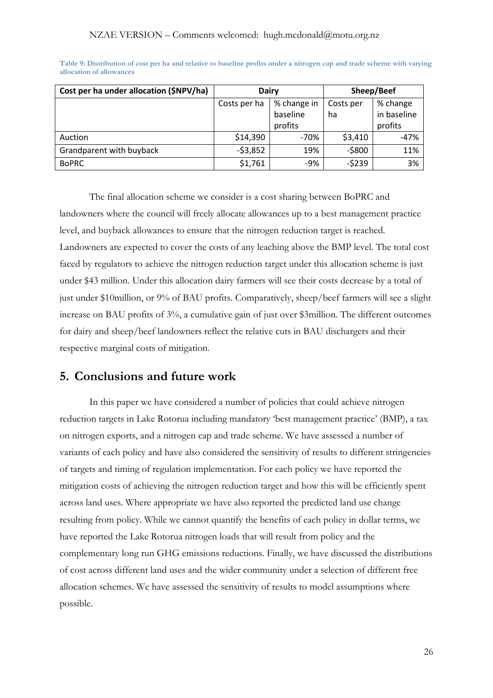| Cost per ha under allocation (\$NPV/ha) | <b>Dairy</b> |             | Sheep/Beef |             |
|-----------------------------------------|--------------|-------------|------------|-------------|
|                                         | Costs per ha | % change in | Costs per  | % change    |
|                                         |              | baseline    | ha         | in baseline |
|                                         |              | profits     |            | profits     |
| Auction                                 | \$14,390     | -70%        | \$3,410    | $-47%$      |
| Grandparent with buyback                | $-53,852$    | 19%         | $-5800$    | 11%         |
| <b>BoPRC</b>                            | \$1,761      | -9%         | $-5239$    | 3%          |

<span id="page-25-0"></span>**Table 9: Distribution of cost per ha and relative to baseline profits under a nitrogen cap and trade scheme with varying allocation of allowances**

The final allocation scheme we consider is a cost sharing between BoPRC and landowners where the council will freely allocate allowances up to a best management practice level, and buyback allowances to ensure that the nitrogen reduction target is reached. Landowners are expected to cover the costs of any leaching above the BMP level. The total cost faced by regulators to achieve the nitrogen reduction target under this allocation scheme is just under \$43 million. Under this allocation dairy farmers will see their costs decrease by a total of just under \$10million, or 9% of BAU profits. Comparatively, sheep/beef farmers will see a slight increase on BAU profits of 3%, a cumulative gain of just over \$3million. The different outcomes for dairy and sheep/beef landowners reflect the relative cuts in BAU dischargers and their respective marginal costs of mitigation.

# **5. Conclusions and future work**

In this paper we have considered a number of policies that could achieve nitrogen reduction targets in Lake Rotorua including mandatory 'best management practice' (BMP), a tax on nitrogen exports, and a nitrogen cap and trade scheme. We have assessed a number of variants of each policy and have also considered the sensitivity of results to different stringencies of targets and timing of regulation implementation. For each policy we have reported the mitigation costs of achieving the nitrogen reduction target and how this will be efficiently spent across land uses. Where appropriate we have also reported the predicted land use change resulting from policy. While we cannot quantify the benefits of each policy in dollar terms, we have reported the Lake Rotorua nitrogen loads that will result from policy and the complementary long run GHG emissions reductions. Finally, we have discussed the distributions of cost across different land uses and the wider community under a selection of different free allocation schemes. We have assessed the sensitivity of results to model assumptions where possible.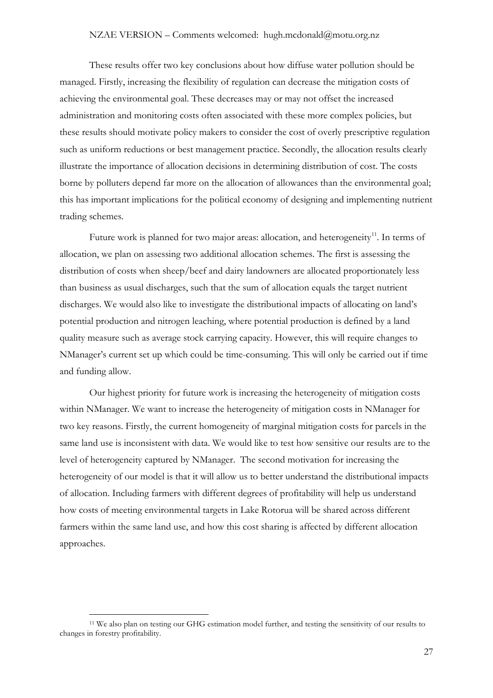#### NZAE VERSION – Comments welcomed: hugh.mcdonald@motu.org.nz

These results offer two key conclusions about how diffuse water pollution should be managed. Firstly, increasing the flexibility of regulation can decrease the mitigation costs of achieving the environmental goal. These decreases may or may not offset the increased administration and monitoring costs often associated with these more complex policies, but these results should motivate policy makers to consider the cost of overly prescriptive regulation such as uniform reductions or best management practice. Secondly, the allocation results clearly illustrate the importance of allocation decisions in determining distribution of cost. The costs borne by polluters depend far more on the allocation of allowances than the environmental goal; this has important implications for the political economy of designing and implementing nutrient trading schemes.

Future work is planned for two major areas: allocation, and heterogeneity<sup>[11](#page-26-0)</sup>. In terms of allocation, we plan on assessing two additional allocation schemes. The first is assessing the distribution of costs when sheep/beef and dairy landowners are allocated proportionately less than business as usual discharges, such that the sum of allocation equals the target nutrient discharges. We would also like to investigate the distributional impacts of allocating on land's potential production and nitrogen leaching, where potential production is defined by a land quality measure such as average stock carrying capacity. However, this will require changes to NManager's current set up which could be time-consuming. This will only be carried out if time and funding allow.

Our highest priority for future work is increasing the heterogeneity of mitigation costs within NManager. We want to increase the heterogeneity of mitigation costs in NManager for two key reasons. Firstly, the current homogeneity of marginal mitigation costs for parcels in the same land use is inconsistent with data. We would like to test how sensitive our results are to the level of heterogeneity captured by NManager. The second motivation for increasing the heterogeneity of our model is that it will allow us to better understand the distributional impacts of allocation. Including farmers with different degrees of profitability will help us understand how costs of meeting environmental targets in Lake Rotorua will be shared across different farmers within the same land use, and how this cost sharing is affected by different allocation approaches.

<span id="page-26-0"></span> <sup>11</sup> We also plan on testing our GHG estimation model further, and testing the sensitivity of our results to changes in forestry profitability.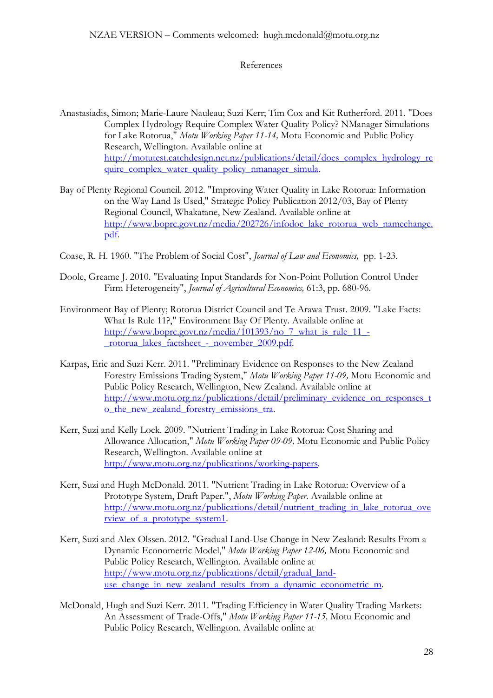#### References

- Anastasiadis, Simon; Marie-Laure Nauleau; Suzi Kerr; Tim Cox and Kit Rutherford. 2011. "Does Complex Hydrology Require Complex Water Quality Policy? NManager Simulations for Lake Rotorua," *Motu Working Paper 11-14,* Motu Economic and Public Policy Research, Wellington. Available online at [http://motutest.catchdesign.net.nz/publications/detail/does\\_complex\\_hydrology\\_re](http://motutest.catchdesign.net.nz/publications/detail/does_complex_hydrology_require_complex_water_quality_policy_nmanager_simula) [quire\\_complex\\_water\\_quality\\_policy\\_nmanager\\_simula.](http://motutest.catchdesign.net.nz/publications/detail/does_complex_hydrology_require_complex_water_quality_policy_nmanager_simula)
- Bay of Plenty Regional Council. 2012. "Improving Water Quality in Lake Rotorua: Information on the Way Land Is Used," Strategic Policy Publication 2012/03, Bay of Plenty Regional Council, Whakatane, New Zealand. Available online at [http://www.boprc.govt.nz/media/202726/infodoc\\_lake\\_rotorua\\_web\\_namechange.](http://www.boprc.govt.nz/media/202726/infodoc_lake_rotorua_web_namechange.pdf) [pdf.](http://www.boprc.govt.nz/media/202726/infodoc_lake_rotorua_web_namechange.pdf)
- Coase, R. H. 1960. "The Problem of Social Cost", *Journal of Law and Economics,* pp. 1-23.
- Doole, Greame J. 2010. "Evaluating Input Standards for Non-Point Pollution Control Under Firm Heterogeneity", *Journal of Agricultural Economics,* 61:3, pp. 680-96.
- Environment Bay of Plenty; Rotorua District Council and Te Arawa Trust. 2009. "Lake Facts: What Is Rule 11?," Environment Bay Of Plenty. Available online at [http://www.boprc.govt.nz/media/101393/no\\_7\\_what\\_is\\_rule\\_11\\_-](http://www.boprc.govt.nz/media/101393/no_7_what_is_rule_11_-_rotorua_lakes_factsheet_-_november_2009.pdf) [\\_rotorua\\_lakes\\_factsheet\\_-\\_november\\_2009.pdf.](http://www.boprc.govt.nz/media/101393/no_7_what_is_rule_11_-_rotorua_lakes_factsheet_-_november_2009.pdf)
- Karpas, Eric and Suzi Kerr. 2011. "Preliminary Evidence on Responses to the New Zealand Forestry Emissions Trading System," *Motu Working Paper 11-09,* Motu Economic and Public Policy Research, Wellington, New Zealand. Available online at [http://www.motu.org.nz/publications/detail/preliminary\\_evidence\\_on\\_responses\\_t](http://www.motu.org.nz/publications/detail/preliminary_evidence_on_responses_to_the_new_zealand_forestry_emissions_tra) [o\\_the\\_new\\_zealand\\_forestry\\_emissions\\_tra.](http://www.motu.org.nz/publications/detail/preliminary_evidence_on_responses_to_the_new_zealand_forestry_emissions_tra)
- Kerr, Suzi and Kelly Lock. 2009. "Nutrient Trading in Lake Rotorua: Cost Sharing and Allowance Allocation," *Motu Working Paper 09-09,* Motu Economic and Public Policy Research, Wellington. Available online at [http://www.motu.org.nz/publications/working-papers.](http://www.motu.org.nz/publications/working-papers)
- Kerr, Suzi and Hugh McDonald. 2011. "Nutrient Trading in Lake Rotorua: Overview of a Prototype System, Draft Paper.", *Motu Working Paper*. Available online at [http://www.motu.org.nz/publications/detail/nutrient\\_trading\\_in\\_lake\\_rotorua\\_ove](http://www.motu.org.nz/publications/detail/nutrient_trading_in_lake_rotorua_overview_of_a_prototype_system1) [rview\\_of\\_a\\_prototype\\_system1.](http://www.motu.org.nz/publications/detail/nutrient_trading_in_lake_rotorua_overview_of_a_prototype_system1)
- Kerr, Suzi and Alex Olssen. 2012. "Gradual Land-Use Change in New Zealand: Results From a Dynamic Econometric Model," *Motu Working Paper 12-06,* Motu Economic and Public Policy Research, Wellington. Available online at [http://www.motu.org.nz/publications/detail/gradual\\_land](http://www.motu.org.nz/publications/detail/gradual_land-use_change_in_new_zealand_results_from_a_dynamic_econometric_m)use change in new zealand results from a dynamic econometric m.
- McDonald, Hugh and Suzi Kerr. 2011. "Trading Efficiency in Water Quality Trading Markets: An Assessment of Trade-Offs," *Motu Working Paper 11-15,* Motu Economic and Public Policy Research, Wellington. Available online at